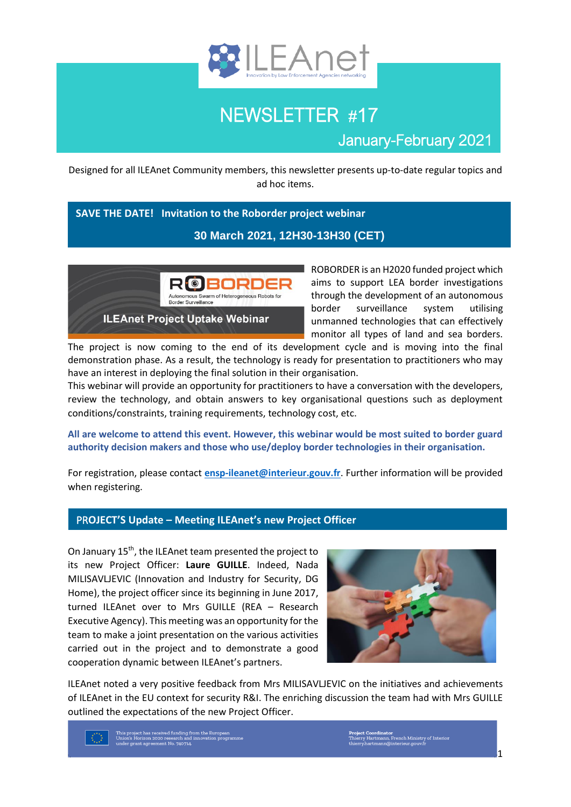

# NEWSLETTER #17

January-February 2021

Designed for all ILEAnet Community members, this newsletter presents up-to-date regular topics and ad hoc items.

# **SAVE THE DATE! Invitation to the Roborder project webinar**

## **30 March 2021, 12H30-13H30 (CET)**



ROBORDER is an H2020 funded project which aims to support LEA border investigations through the development of an autonomous border surveillance system utilising unmanned technologies that can effectively monitor all types of land and sea borders.

The project is now coming to the end of its development cycle and is moving into the final demonstration phase. As a result, the technology is ready for presentation to practitioners who may have an interest in deploying the final solution in their organisation.

This webinar will provide an opportunity for practitioners to have a conversation with the developers, review the technology, and obtain answers to key organisational questions such as deployment conditions/constraints, training requirements, technology cost, etc.

**All are welcome to attend this event. However, this webinar would be most suited to border guard authority decision makers and those who use/deploy border technologies in their organisation.**

For registration, please contact **[ensp-ileanet@interieur.gouv.fr](mailto:ensp-ileanet@interieur.gouv.fr)**. Further information will be provided when registering.

# PR**OJECT'S Update – Meeting ILEAnet's new Project Officer**

On January 15<sup>th</sup>, the ILEAnet team presented the project to its new Project Officer: **Laure GUILLE**. Indeed, Nada MILISAVLJEVIC (Innovation and Industry for Security, DG Home), the project officer since its beginning in June 2017, turned ILEAnet over to Mrs GUILLE (REA – Research Executive Agency). This meeting was an opportunity for the team to make a joint presentation on the various activities carried out in the project and to demonstrate a good cooperation dynamic between ILEAnet's partners.



ILEAnet noted a very positive feedback from Mrs MILISAVLJEVIC on the initiatives and achievements of ILEAnet in the EU context for security R&I. The enriching discussion the team had with Mrs GUILLE outlined the expectations of the new Project Officer.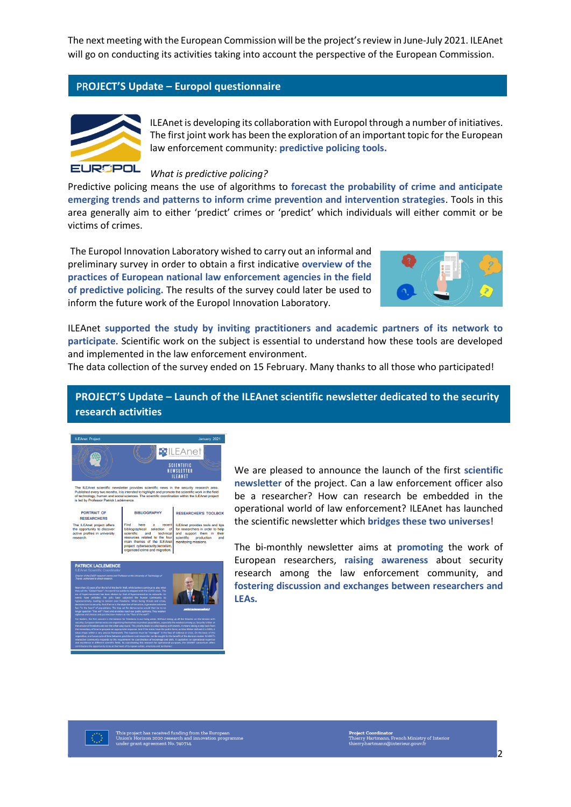The next meeting with the European Commission will be the project's review in June-July 2021. ILEAnet will go on conducting its activities taking into account the perspective of the European Commission.

#### PR**OJECT'S Update – Europol questionnaire**



ILEAnet is developing its collaboration with Europol through a number of initiatives. The first joint work has been the exploration of an important topic for the European law enforcement community: **predictive policing tools.**

#### *What is predictive policing?*

Predictive policing means the use of algorithms to **forecast the probability of crime and anticipate emerging trends and patterns to inform crime prevention and intervention strategies**. Tools in this area generally aim to either 'predict' crimes or 'predict' which individuals will either commit or be victims of crimes.

The Europol Innovation Laboratory wished to carry out an informal and preliminary survey in order to obtain a first indicative **overview of the practices of European national law enforcement agencies in the field of predictive policing.** The results of the survey could later be used to inform the future work of the Europol Innovation Laboratory.



ILEAnet **supported the study by inviting practitioners and academic partners of its network to participate**. Scientific work on the subject is essential to understand how these tools are developed and implemented in the law enforcement environment.

The data collection of the survey ended on 15 February. Many thanks to all those who participated!

# **PROJECT'S Update – Launch of the ILEAnet scientific newsletter dedicated to the security research activities**



We are pleased to announce the launch of the first **scientific newsletter** of the project. Can a law enforcement officer also be a researcher? How can research be embedded in the operational world of law enforcement? ILEAnet has launched the scientific newsletter which **bridges these two universes**!

The bi-monthly newsletter aims at **promoting** the work of European researchers, **raising awareness** about security research among the law enforcement community, and **fostering discussion and exchanges between researchers and LEAs.**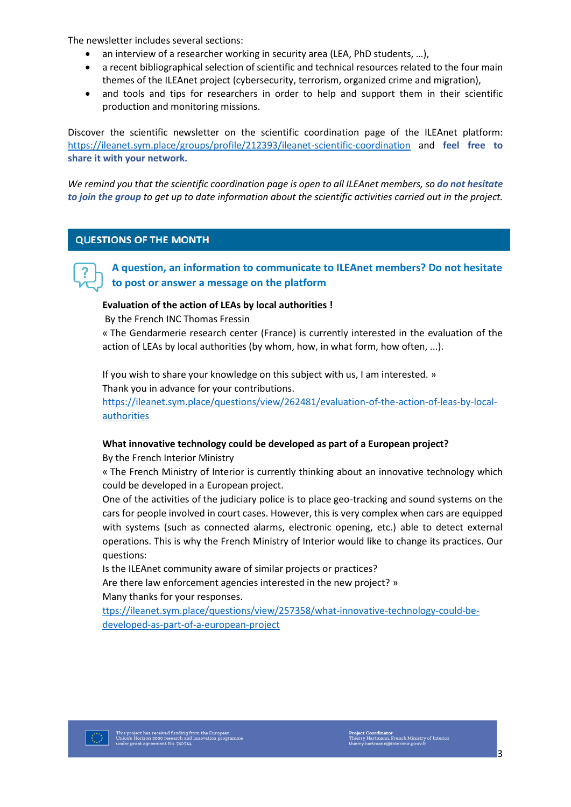The newsletter includes several sections:

- an interview of a researcher working in security area (LEA, PhD students, ...),
- a recent bibliographical selection of scientific and technical resources related to the four main themes of the ILEAnet project (cybersecurity, terrorism, organized crime and migration),
- and tools and tips for researchers in order to help and support them in their scientific production and monitoring missions.

Discover the scientific newsletter on the scientific coordination page of the ILEAnet platform: <https://ileanet.sym.place/groups/profile/212393/ileanet-scientific-coordination> and **feel free to share it with your network.**

*We remind you that the scientific coordination page is open to all ILEAnet members, so do not hesitate to join the group to get up to date information about the scientific activities carried out in the project.* 

#### **QUESTIONS OF THE MONTH**

**A question, an information to communicate to ILEAnet members? Do not hesitate to post or answer a message on the platform**

#### **Evaluation of the action of LEAs by local authorities !**

By the French INC Thomas Fressin

« The Gendarmerie research center (France) is currently interested in the evaluation of the action of LEAs by local authorities (by whom, how, in what form, how often, ...).

If you wish to share your knowledge on this subject with us, I am interested. » Thank you in advance for your contributions.

[https://ileanet.sym.place/questions/view/262481/evaluation-of-the-action-of-leas-by-local](https://ileanet.sym.place/questions/view/262481/evaluation-of-the-action-of-leas-by-local-authorities)[authorities](https://ileanet.sym.place/questions/view/262481/evaluation-of-the-action-of-leas-by-local-authorities)

#### **What innovative technology could be developed as part of a European project?**

By the French Interior Ministry

« The French Ministry of Interior is currently thinking about an innovative technology which could be developed in a European project.

One of the activities of the judiciary police is to place geo-tracking and sound systems on the cars for people involved in court cases. However, this is very complex when cars are equipped with systems (such as connected alarms, electronic opening, etc.) able to detect external operations. This is why the French Ministry of Interior would like to change its practices. Our questions:

Is the ILEAnet community aware of similar projects or practices? Are there law enforcement agencies interested in the new project? » Many thanks for your responses.

[ttps://ileanet.sym.place/questions/view/257358/what-innovative-technology-could-be](https://ileanet.sym.place/questions/view/257358/what-innovative-technology-could-be-developed-as-part-of-a-european-project)[developed-as-part-of-a-european-project](https://ileanet.sym.place/questions/view/257358/what-innovative-technology-could-be-developed-as-part-of-a-european-project)